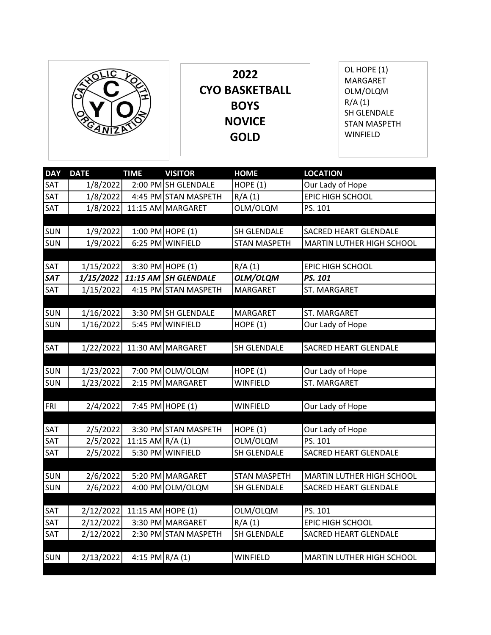|            | $\mathcal{P}_{\mathbf{z}}$<br>୍ତ୍ର<br>カラバ | 2022<br><b>CYO BASKETBALL</b><br><b>BOYS</b><br><b>NOVICE</b><br><b>GOLD</b> | OL HOPE (1)<br><b>MARGARET</b><br>OLM/OLQM<br>R/A(1)<br>SH GLENDALE<br><b>STAN MASPETH</b><br>WINFIELD |
|------------|-------------------------------------------|------------------------------------------------------------------------------|--------------------------------------------------------------------------------------------------------|
| <b>DAY</b> | TIMF<br><b>DATF</b>                       | <b>HOMF</b><br><b>VISITOR</b>                                                | <b>LOCATION</b>                                                                                        |

| <b>DAY</b> | <b>DATE</b> | <b>TIME</b>       | <b>VISITOR</b>       | <b>HOME</b>         | <b>LOCATION</b>                  |
|------------|-------------|-------------------|----------------------|---------------------|----------------------------------|
| SAT        | 1/8/2022    |                   | 2:00 PM SH GLENDALE  | <b>HOPE (1)</b>     | Our Lady of Hope                 |
| SAT        | 1/8/2022    |                   | 4:45 PM STAN MASPETH | R/A(1)              | EPIC HIGH SCHOOL                 |
| SAT        | 1/8/2022    |                   | 11:15 AM MARGARET    | OLM/OLQM            | PS. 101                          |
|            |             |                   |                      |                     |                                  |
| SUN        | 1/9/2022    |                   | 1:00 PM HOPE (1)     | SH GLENDALE         | <b>SACRED HEART GLENDALE</b>     |
| <b>SUN</b> | 1/9/2022    |                   | 6:25 PM WINFIELD     | <b>STAN MASPETH</b> | <b>MARTIN LUTHER HIGH SCHOOL</b> |
|            |             |                   |                      |                     |                                  |
| SAT        | 1/15/2022   |                   | 3:30 PM HOPE (1)     | R/A(1)              | <b>EPIC HIGH SCHOOL</b>          |
| <b>SAT</b> | 1/15/2022   | 11:15 AM          | <b>SH GLENDALE</b>   | OLM/OLQM            | PS. 101                          |
| SAT        | 1/15/2022   |                   | 4:15 PM STAN MASPETH | MARGARET            | ST. MARGARET                     |
|            |             |                   |                      |                     |                                  |
| <b>SUN</b> | 1/16/2022   |                   | 3:30 PM SH GLENDALE  | <b>MARGARET</b>     | ST. MARGARET                     |
| SUN        | 1/16/2022   |                   | 5:45 PM WINFIELD     | HOPE $(1)$          | Our Lady of Hope                 |
|            |             |                   |                      |                     |                                  |
| SAT        | 1/22/2022   |                   | 11:30 AM MARGARET    | SH GLENDALE         | <b>SACRED HEART GLENDALE</b>     |
|            |             |                   |                      |                     |                                  |
| SUN        | 1/23/2022   |                   | 7:00 PM OLM/OLQM     | HOPE $(1)$          | Our Lady of Hope                 |
| <b>SUN</b> | 1/23/2022   |                   | 2:15 PM MARGARET     | <b>WINFIELD</b>     | ST. MARGARET                     |
|            |             |                   | 7:45 PM HOPE (1)     | <b>WINFIELD</b>     |                                  |
| <b>FRI</b> | 2/4/2022    |                   |                      |                     | Our Lady of Hope                 |
| SAT        | 2/5/2022    |                   | 3:30 PM STAN MASPETH | HOPE $(1)$          | Our Lady of Hope                 |
| SAT        | 2/5/2022    | 11:15 AM $R/A(1)$ |                      | OLM/OLQM            | PS. 101                          |
| SAT        | 2/5/2022    |                   | 5:30 PM WINFIELD     | SH GLENDALE         | SACRED HEART GLENDALE            |
|            |             |                   |                      |                     |                                  |
| SUN        | 2/6/2022    |                   | 5:20 PM MARGARET     | <b>STAN MASPETH</b> | <b>MARTIN LUTHER HIGH SCHOOL</b> |
| <b>SUN</b> | 2/6/2022    |                   | 4:00 PM OLM/OLQM     | SH GLENDALE         | <b>SACRED HEART GLENDALE</b>     |
|            |             |                   |                      |                     |                                  |
| SAT        | 2/12/2022   | 11:15 AM HOPE (1) |                      | OLM/OLQM            | PS. 101                          |
| SAT        | 2/12/2022   |                   | 3:30 PM MARGARET     | R/A(1)              | EPIC HIGH SCHOOL                 |
| SAT        | 2/12/2022   |                   | 2:30 PM STAN MASPETH | SH GLENDALE         | SACRED HEART GLENDALE            |
|            |             |                   |                      |                     |                                  |
| <b>SUN</b> | 2/13/2022   | $4:15$ PM R/A (1) |                      | <b>WINFIELD</b>     | <b>MARTIN LUTHER HIGH SCHOOL</b> |
|            |             |                   |                      |                     |                                  |